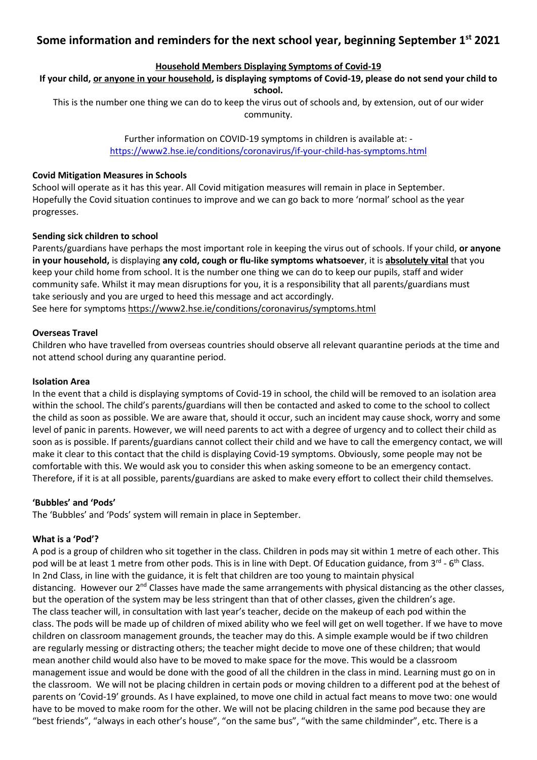# **Some information and reminders for the next school year, beginning September 1st 2021**

# **Household Members Displaying Symptoms of Covid-19**

#### **If your child, or anyone in your household, is displaying symptoms of Covid-19, please do not send your child to school.**

This is the number one thing we can do to keep the virus out of schools and, by extension, out of our wider community.

> Further information on COVID-19 symptoms in children is available at: <https://www2.hse.ie/conditions/coronavirus/if-your-child-has-symptoms.html>

# **Covid Mitigation Measures in Schools**

School will operate as it has this year. All Covid mitigation measures will remain in place in September. Hopefully the Covid situation continues to improve and we can go back to more 'normal' school as the year progresses.

# **Sending sick children to school**

Parents/guardians have perhaps the most important role in keeping the virus out of schools. If your child, **or anyone in your household,** is displaying **any cold, cough or flu-like symptoms whatsoever**, it is **absolutely vital** that you keep your child home from school. It is the number one thing we can do to keep our pupils, staff and wider community safe. Whilst it may mean disruptions for you, it is a responsibility that all parents/guardians must take seriously and you are urged to heed this message and act accordingly. See here for symptoms <https://www2.hse.ie/conditions/coronavirus/symptoms.html>

# **Overseas Travel**

Children who have travelled from overseas countries should observe all relevant quarantine periods at the time and not attend school during any quarantine period.

#### **Isolation Area**

In the event that a child is displaying symptoms of Covid-19 in school, the child will be removed to an isolation area within the school. The child's parents/guardians will then be contacted and asked to come to the school to collect the child as soon as possible. We are aware that, should it occur, such an incident may cause shock, worry and some level of panic in parents. However, we will need parents to act with a degree of urgency and to collect their child as soon as is possible. If parents/guardians cannot collect their child and we have to call the emergency contact, we will make it clear to this contact that the child is displaying Covid-19 symptoms. Obviously, some people may not be comfortable with this. We would ask you to consider this when asking someone to be an emergency contact. Therefore, if it is at all possible, parents/guardians are asked to make every effort to collect their child themselves.

#### **'Bubbles' and 'Pods'**

The 'Bubbles' and 'Pods' system will remain in place in September.

# **What is a 'Pod'?**

A pod is a group of children who sit together in the class. Children in pods may sit within 1 metre of each other. This pod will be at least 1 metre from other pods. This is in line with Dept. Of Education guidance, from 3<sup>rd</sup> - 6<sup>th</sup> Class. In 2nd Class, in line with the guidance, it is felt that children are too young to maintain physical distancing. However our  $2^{nd}$  Classes have made the same arrangements with physical distancing as the other classes, but the operation of the system may be less stringent than that of other classes, given the children's age. The class teacher will, in consultation with last year's teacher, decide on the makeup of each pod within the class. The pods will be made up of children of mixed ability who we feel will get on well together. If we have to move children on classroom management grounds, the teacher may do this. A simple example would be if two children are regularly messing or distracting others; the teacher might decide to move one of these children; that would mean another child would also have to be moved to make space for the move. This would be a classroom management issue and would be done with the good of all the children in the class in mind. Learning must go on in the classroom. We will not be placing children in certain pods or moving children to a different pod at the behest of parents on 'Covid-19' grounds. As I have explained, to move one child in actual fact means to move two: one would have to be moved to make room for the other. We will not be placing children in the same pod because they are "best friends", "always in each other's house", "on the same bus", "with the same childminder", etc. There is a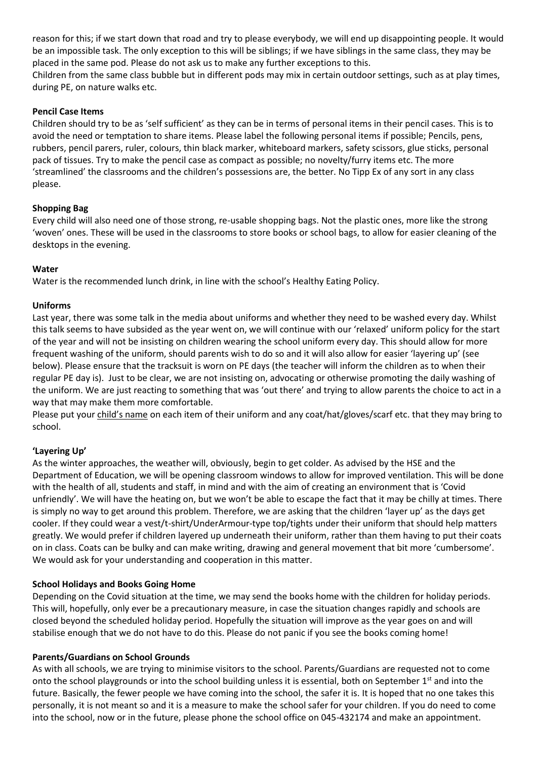reason for this; if we start down that road and try to please everybody, we will end up disappointing people. It would be an impossible task. The only exception to this will be siblings; if we have siblings in the same class, they may be placed in the same pod. Please do not ask us to make any further exceptions to this. Children from the same class bubble but in different pods may mix in certain outdoor settings, such as at play times, during PE, on nature walks etc.

# **Pencil Case Items**

Children should try to be as 'self sufficient' as they can be in terms of personal items in their pencil cases. This is to avoid the need or temptation to share items. Please label the following personal items if possible; Pencils, pens, rubbers, pencil parers, ruler, colours, thin black marker, whiteboard markers, safety scissors, glue sticks, personal pack of tissues. Try to make the pencil case as compact as possible; no novelty/furry items etc. The more 'streamlined' the classrooms and the children's possessions are, the better. No Tipp Ex of any sort in any class please.

# **Shopping Bag**

Every child will also need one of those strong, re-usable shopping bags. Not the plastic ones, more like the strong 'woven' ones. These will be used in the classrooms to store books or school bags, to allow for easier cleaning of the desktops in the evening.

# **Water**

Water is the recommended lunch drink, in line with the school's Healthy Eating Policy.

# **Uniforms**

Last year, there was some talk in the media about uniforms and whether they need to be washed every day. Whilst this talk seems to have subsided as the year went on, we will continue with our 'relaxed' uniform policy for the start of the year and will not be insisting on children wearing the school uniform every day. This should allow for more frequent washing of the uniform, should parents wish to do so and it will also allow for easier 'layering up' (see below). Please ensure that the tracksuit is worn on PE days (the teacher will inform the children as to when their regular PE day is). Just to be clear, we are not insisting on, advocating or otherwise promoting the daily washing of the uniform. We are just reacting to something that was 'out there' and trying to allow parents the choice to act in a way that may make them more comfortable.

Please put your child's name on each item of their uniform and any coat/hat/gloves/scarf etc. that they may bring to school.

# **'Layering Up'**

As the winter approaches, the weather will, obviously, begin to get colder. As advised by the HSE and the Department of Education, we will be opening classroom windows to allow for improved ventilation. This will be done with the health of all, students and staff, in mind and with the aim of creating an environment that is 'Covid unfriendly'. We will have the heating on, but we won't be able to escape the fact that it may be chilly at times. There is simply no way to get around this problem. Therefore, we are asking that the children 'layer up' as the days get cooler. If they could wear a vest/t-shirt/UnderArmour-type top/tights under their uniform that should help matters greatly. We would prefer if children layered up underneath their uniform, rather than them having to put their coats on in class. Coats can be bulky and can make writing, drawing and general movement that bit more 'cumbersome'. We would ask for your understanding and cooperation in this matter.

#### **School Holidays and Books Going Home**

Depending on the Covid situation at the time, we may send the books home with the children for holiday periods. This will, hopefully, only ever be a precautionary measure, in case the situation changes rapidly and schools are closed beyond the scheduled holiday period. Hopefully the situation will improve as the year goes on and will stabilise enough that we do not have to do this. Please do not panic if you see the books coming home!

#### **Parents/Guardians on School Grounds**

As with all schools, we are trying to minimise visitors to the school. Parents/Guardians are requested not to come onto the school playgrounds or into the school building unless it is essential, both on September 1<sup>st</sup> and into the future. Basically, the fewer people we have coming into the school, the safer it is. It is hoped that no one takes this personally, it is not meant so and it is a measure to make the school safer for your children. If you do need to come into the school, now or in the future, please phone the school office on 045-432174 and make an appointment.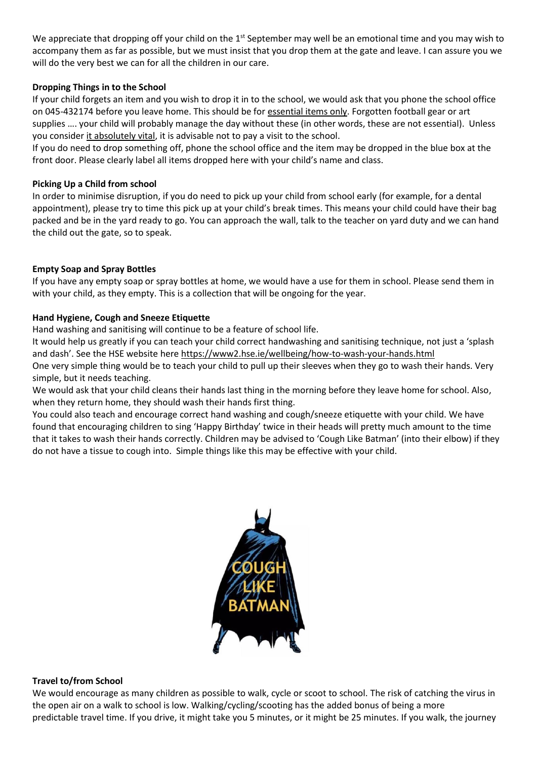We appreciate that dropping off your child on the  $1<sup>st</sup>$  September may well be an emotional time and you may wish to accompany them as far as possible, but we must insist that you drop them at the gate and leave. I can assure you we will do the very best we can for all the children in our care.

### **Dropping Things in to the School**

If your child forgets an item and you wish to drop it in to the school, we would ask that you phone the school office on 045-432174 before you leave home. This should be for essential items only. Forgotten football gear or art supplies …. your child will probably manage the day without these (in other words, these are not essential). Unless you consider it absolutely vital, it is advisable not to pay a visit to the school.

If you do need to drop something off, phone the school office and the item may be dropped in the blue box at the front door. Please clearly label all items dropped here with your child's name and class.

# **Picking Up a Child from school**

In order to minimise disruption, if you do need to pick up your child from school early (for example, for a dental appointment), please try to time this pick up at your child's break times. This means your child could have their bag packed and be in the yard ready to go. You can approach the wall, talk to the teacher on yard duty and we can hand the child out the gate, so to speak.

# **Empty Soap and Spray Bottles**

If you have any empty soap or spray bottles at home, we would have a use for them in school. Please send them in with your child, as they empty. This is a collection that will be ongoing for the year.

# **Hand Hygiene, Cough and Sneeze Etiquette**

Hand washing and sanitising will continue to be a feature of school life.

It would help us greatly if you can teach your child correct handwashing and sanitising technique, not just a 'splash and dash'. See the HSE website here <https://www2.hse.ie/wellbeing/how-to-wash-your-hands.html>

One very simple thing would be to teach your child to pull up their sleeves when they go to wash their hands. Very simple, but it needs teaching.

We would ask that your child cleans their hands last thing in the morning before they leave home for school. Also, when they return home, they should wash their hands first thing.

You could also teach and encourage correct hand washing and cough/sneeze etiquette with your child. We have found that encouraging children to sing 'Happy Birthday' twice in their heads will pretty much amount to the time that it takes to wash their hands correctly. Children may be advised to 'Cough Like Batman' (into their elbow) if they do not have a tissue to cough into. Simple things like this may be effective with your child.



#### **Travel to/from School**

We would encourage as many children as possible to walk, cycle or scoot to school. The risk of catching the virus in the open air on a walk to school is low. Walking/cycling/scooting has the added bonus of being a more predictable travel time. If you drive, it might take you 5 minutes, or it might be 25 minutes. If you walk, the journey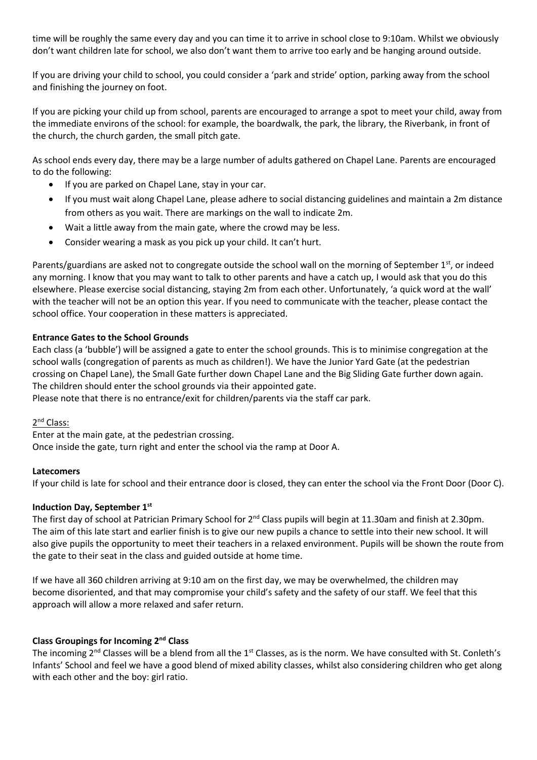time will be roughly the same every day and you can time it to arrive in school close to 9:10am. Whilst we obviously don't want children late for school, we also don't want them to arrive too early and be hanging around outside.

If you are driving your child to school, you could consider a 'park and stride' option, parking away from the school and finishing the journey on foot.

If you are picking your child up from school, parents are encouraged to arrange a spot to meet your child, away from the immediate environs of the school: for example, the boardwalk, the park, the library, the Riverbank, in front of the church, the church garden, the small pitch gate.

As school ends every day, there may be a large number of adults gathered on Chapel Lane. Parents are encouraged to do the following:

- If you are parked on Chapel Lane, stay in your car.
- If you must wait along Chapel Lane, please adhere to social distancing guidelines and maintain a 2m distance from others as you wait. There are markings on the wall to indicate 2m.
- Wait a little away from the main gate, where the crowd may be less.
- Consider wearing a mask as you pick up your child. It can't hurt.

Parents/guardians are asked not to congregate outside the school wall on the morning of September  $1^{st}$ , or indeed any morning. I know that you may want to talk to other parents and have a catch up, I would ask that you do this elsewhere. Please exercise social distancing, staying 2m from each other. Unfortunately, 'a quick word at the wall' with the teacher will not be an option this year. If you need to communicate with the teacher, please contact the school office. Your cooperation in these matters is appreciated.

# **Entrance Gates to the School Grounds**

Each class (a 'bubble') will be assigned a gate to enter the school grounds. This is to minimise congregation at the school walls (congregation of parents as much as children!). We have the Junior Yard Gate (at the pedestrian crossing on Chapel Lane), the Small Gate further down Chapel Lane and the Big Sliding Gate further down again. The children should enter the school grounds via their appointed gate.

Please note that there is no entrance/exit for children/parents via the staff car park.

# 2<sup>nd</sup> Class:

Enter at the main gate, at the pedestrian crossing. Once inside the gate, turn right and enter the school via the ramp at Door A.

#### **Latecomers**

If your child is late for school and their entrance door is closed, they can enter the school via the Front Door (Door C).

# **Induction Day, September 1st**

The first day of school at Patrician Primary School for 2<sup>nd</sup> Class pupils will begin at 11.30am and finish at 2.30pm. The aim of this late start and earlier finish is to give our new pupils a chance to settle into their new school. It will also give pupils the opportunity to meet their teachers in a relaxed environment. Pupils will be shown the route from the gate to their seat in the class and guided outside at home time.

If we have all 360 children arriving at 9:10 am on the first day, we may be overwhelmed, the children may become disoriented, and that may compromise your child's safety and the safety of our staff. We feel that this approach will allow a more relaxed and safer return.

# **Class Groupings for Incoming 2nd Class**

The incoming 2<sup>nd</sup> Classes will be a blend from all the 1<sup>st</sup> Classes, as is the norm. We have consulted with St. Conleth's Infants' School and feel we have a good blend of mixed ability classes, whilst also considering children who get along with each other and the boy: girl ratio.